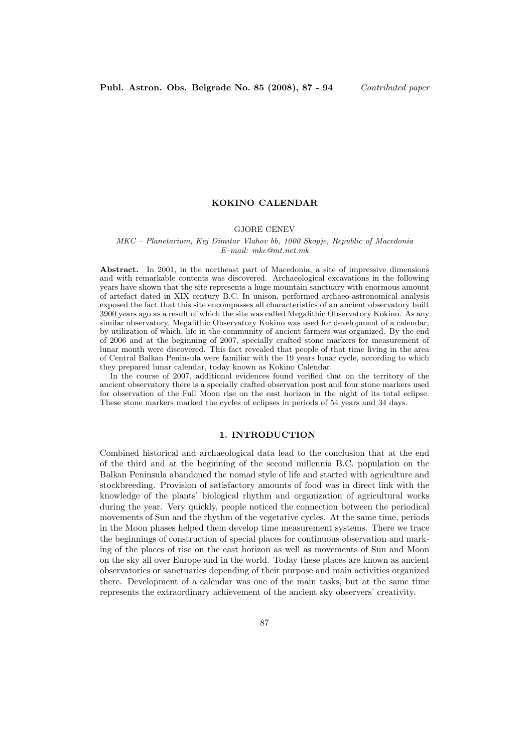## KOKINO CALENDAR

## GJORE CENEV

#### MKC – Planetarium, Kej Dimitar Vlahov bb, 1000 Skopje, Republic of Macedonia E–mail: mkc@mt.net.mk

Abstract. In 2001, in the northeast part of Macedonia, a site of impressive dimensions and with remarkable contents was discovered. Archaeological excavations in the following years have shown that the site represents a huge mountain sanctuary with enormous amount of artefact dated in XIX century B.C. In unison, performed archaeo-astronomical analysis exposed the fact that this site encompasses all characteristics of an ancient observatory built 3900 years ago as a result of which the site was called Megalithic Observatory Kokino. As any similar observatory, Megalithic Observatory Kokino was used for development of a calendar, by utilization of which, life in the community of ancient farmers was organized. By the end of 2006 and at the beginning of 2007, specially crafted stone markers for measurement of lunar month were discovered. This fact revealed that people of that time living in the area of Central Balkan Peninsula were familiar with the 19 years lunar cycle, according to which they prepared lunar calendar, today known as Kokino Calendar.

In the course of 2007, additional evidences found verified that on the territory of the ancient observatory there is a specially crafted observation post and four stone markers used for observation of the Full Moon rise on the east horizon in the night of its total eclipse. These stone markers marked the cycles of eclipses in periods of 54 years and 34 days.

# 1. INTRODUCTION

Combined historical and archaeological data lead to the conclusion that at the end of the third and at the beginning of the second millennia B.C. population on the Balkan Peninsula abandoned the nomad style of life and started with agriculture and stockbreeding. Provision of satisfactory amounts of food was in direct link with the knowledge of the plants' biological rhythm and organization of agricultural works during the year. Very quickly, people noticed the connection between the periodical movements of Sun and the rhythm of the vegetative cycles. At the same time, periods in the Moon phases helped them develop time measurement systems. There we trace the beginnings of construction of special places for continuous observation and marking of the places of rise on the east horizon as well as movements of Sun and Moon on the sky all over Europe and in the world. Today these places are known as ancient observatories or sanctuaries depending of their purpose and main activities organized there. Development of a calendar was one of the main tasks, but at the same time represents the extraordinary achievement of the ancient sky observers' creativity.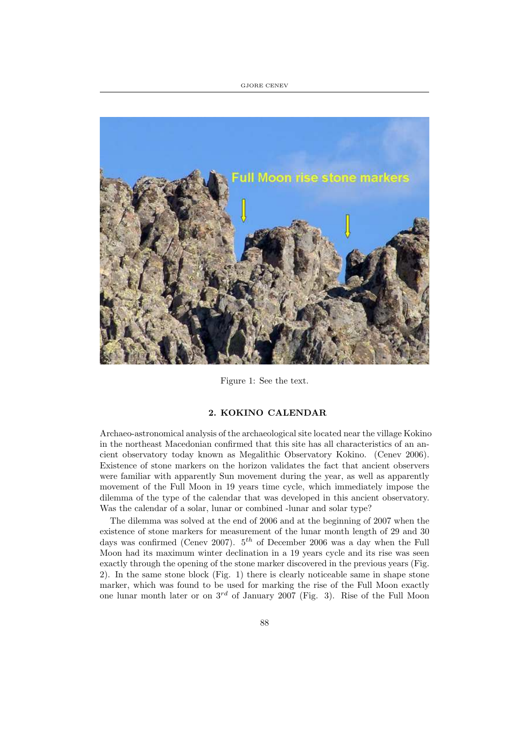GJORE CENEV



Figure 1: See the text.

## 2. KOKINO CALENDAR

Archaeo-astronomical analysis of the archaeological site located near the village Kokino in the northeast Macedonian confirmed that this site has all characteristics of an ancient observatory today known as Megalithic Observatory Kokino. (Cenev 2006). Existence of stone markers on the horizon validates the fact that ancient observers were familiar with apparently Sun movement during the year, as well as apparently movement of the Full Moon in 19 years time cycle, which immediately impose the dilemma of the type of the calendar that was developed in this ancient observatory. Was the calendar of a solar, lunar or combined -lunar and solar type?

The dilemma was solved at the end of 2006 and at the beginning of 2007 when the existence of stone markers for measurement of the lunar month length of 29 and 30 days was confirmed (Cenev 2007).  $5<sup>th</sup>$  of December 2006 was a day when the Full Moon had its maximum winter declination in a 19 years cycle and its rise was seen exactly through the opening of the stone marker discovered in the previous years (Fig. 2). In the same stone block (Fig. 1) there is clearly noticeable same in shape stone marker, which was found to be used for marking the rise of the Full Moon exactly one lunar month later or on  $3^{rd}$  of January 2007 (Fig. 3). Rise of the Full Moon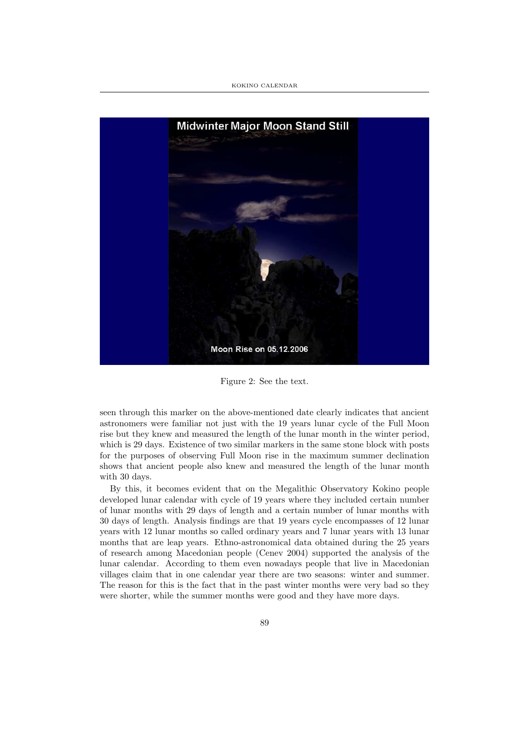

Figure 2: See the text.

seen through this marker on the above-mentioned date clearly indicates that ancient astronomers were familiar not just with the 19 years lunar cycle of the Full Moon rise but they knew and measured the length of the lunar month in the winter period, which is 29 days. Existence of two similar markers in the same stone block with posts for the purposes of observing Full Moon rise in the maximum summer declination shows that ancient people also knew and measured the length of the lunar month with 30 days.

By this, it becomes evident that on the Megalithic Observatory Kokino people developed lunar calendar with cycle of 19 years where they included certain number of lunar months with 29 days of length and a certain number of lunar months with 30 days of length. Analysis findings are that 19 years cycle encompasses of 12 lunar years with 12 lunar months so called ordinary years and 7 lunar years with 13 lunar months that are leap years. Ethno-astronomical data obtained during the 25 years of research among Macedonian people (Cenev 2004) supported the analysis of the lunar calendar. According to them even nowadays people that live in Macedonian villages claim that in one calendar year there are two seasons: winter and summer. The reason for this is the fact that in the past winter months were very bad so they were shorter, while the summer months were good and they have more days.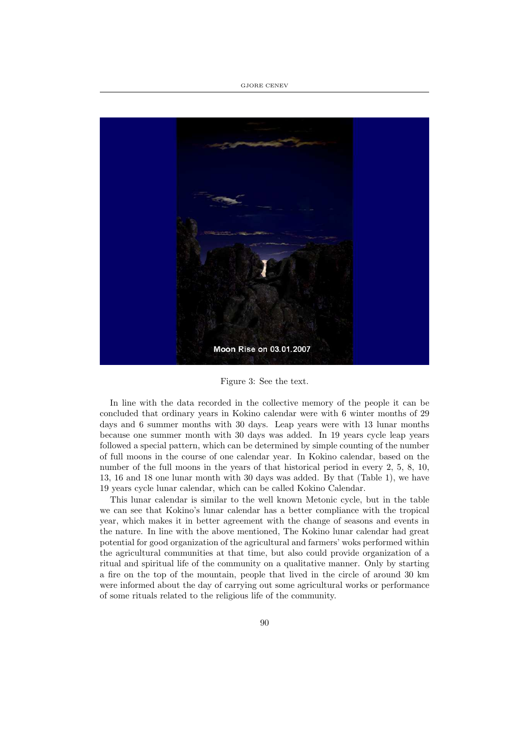

Figure 3: See the text.

In line with the data recorded in the collective memory of the people it can be concluded that ordinary years in Kokino calendar were with 6 winter months of 29 days and 6 summer months with 30 days. Leap years were with 13 lunar months because one summer month with 30 days was added. In 19 years cycle leap years followed a special pattern, which can be determined by simple counting of the number of full moons in the course of one calendar year. In Kokino calendar, based on the number of the full moons in the years of that historical period in every 2, 5, 8, 10, 13, 16 and 18 one lunar month with 30 days was added. By that (Table 1), we have 19 years cycle lunar calendar, which can be called Kokino Calendar.

This lunar calendar is similar to the well known Metonic cycle, but in the table we can see that Kokino's lunar calendar has a better compliance with the tropical year, which makes it in better agreement with the change of seasons and events in the nature. In line with the above mentioned, The Kokino lunar calendar had great potential for good organization of the agricultural and farmers' woks performed within the agricultural communities at that time, but also could provide organization of a ritual and spiritual life of the community on a qualitative manner. Only by starting a fire on the top of the mountain, people that lived in the circle of around 30 km were informed about the day of carrying out some agricultural works or performance of some rituals related to the religious life of the community.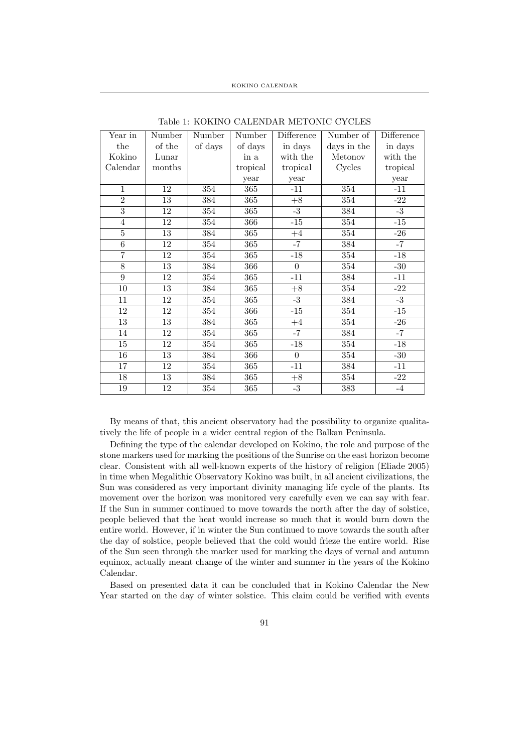| Year in         | Number                               | Number  | Number   | Difference     | Number of   | Difference |
|-----------------|--------------------------------------|---------|----------|----------------|-------------|------------|
| the             | $% \left( \mathcal{A}\right)$ of the | of days | of days  | in days        | days in the | in days    |
| Kokino          | Lunar                                |         | in a     | with the       | Metonov     | with the   |
| Calendar        | months                               |         | tropical | tropical       | Cycles      | tropical   |
|                 |                                      |         | year     | year           |             | year       |
| $\mathbf{1}$    | 12                                   | 354     | 365      | $-11$          | 354         | $-11$      |
| $\overline{2}$  | 13                                   | 384     | 365      | $+8$           | 354         | $-22$      |
| $\overline{3}$  | 12                                   | 354     | 365      | $-3$           | 384         | $-3$       |
| $\overline{4}$  | 12                                   | 354     | 366      | $-15$          | 354         | $-15$      |
| $\overline{5}$  | $\overline{13}$                      | 384     | 365      | $+4$           | 354         | $-26$      |
| 6               | 12                                   | 354     | 365      | $-7$           | 384         | $-7$       |
| $\overline{7}$  | 12                                   | 354     | 365      | $-18$          | 354         | $-18$      |
| 8               | 13                                   | 384     | 366      | $\Omega$       | 354         | $-30$      |
| $\overline{9}$  | 12                                   | 354     | 365      | $-11$          | 384         | $-11$      |
| 10              | 13                                   | 384     | 365      | $+8$           | 354         | $-22$      |
| 11              | $\overline{12}$                      | 354     | 365      | $-3$           | 384         | $-3$       |
| 12              | 12                                   | 354     | 366      | $-15$          | 354         | $-15$      |
| 13              | 13                                   | 384     | 365      | $+4$           | 354         | $-26$      |
| 14              | 12                                   | 354     | 365      | $-7$           | 384         | $-7$       |
| 15              | 12                                   | 354     | 365      | $-18$          | 354         | $-18$      |
| 16              | 13                                   | 384     | 366      | $\overline{0}$ | 354         | $-30$      |
| $\overline{17}$ | 12                                   | 354     | 365      | $-11$          | 384         | $-11$      |
| 18              | 13                                   | 384     | 365      | $+8$           | 354         | -22        |
| 19              | 12                                   | 354     | 365      | $-3$           | 383         | $-4$       |

Table 1: KOKINO CALENDAR METONIC CYCLES

By means of that, this ancient observatory had the possibility to organize qualitatively the life of people in a wider central region of the Balkan Peninsula.

Defining the type of the calendar developed on Kokino, the role and purpose of the stone markers used for marking the positions of the Sunrise on the east horizon become clear. Consistent with all well-known experts of the history of religion (Eliade 2005) in time when Megalithic Observatory Kokino was built, in all ancient civilizations, the Sun was considered as very important divinity managing life cycle of the plants. Its movement over the horizon was monitored very carefully even we can say with fear. If the Sun in summer continued to move towards the north after the day of solstice, people believed that the heat would increase so much that it would burn down the entire world. However, if in winter the Sun continued to move towards the south after the day of solstice, people believed that the cold would frieze the entire world. Rise of the Sun seen through the marker used for marking the days of vernal and autumn equinox, actually meant change of the winter and summer in the years of the Kokino Calendar.

Based on presented data it can be concluded that in Kokino Calendar the New Year started on the day of winter solstice. This claim could be verified with events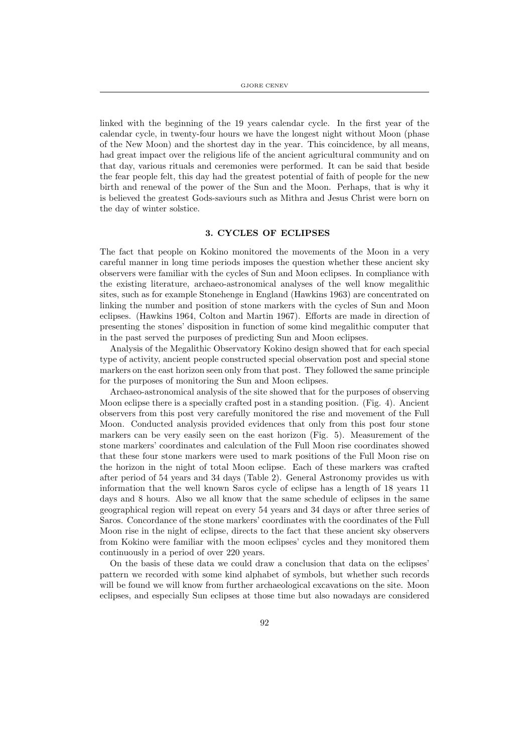linked with the beginning of the 19 years calendar cycle. In the first year of the calendar cycle, in twenty-four hours we have the longest night without Moon (phase of the New Moon) and the shortest day in the year. This coincidence, by all means, had great impact over the religious life of the ancient agricultural community and on that day, various rituals and ceremonies were performed. It can be said that beside the fear people felt, this day had the greatest potential of faith of people for the new birth and renewal of the power of the Sun and the Moon. Perhaps, that is why it is believed the greatest Gods-saviours such as Mithra and Jesus Christ were born on the day of winter solstice.

#### 3. CYCLES OF ECLIPSES

The fact that people on Kokino monitored the movements of the Moon in a very careful manner in long time periods imposes the question whether these ancient sky observers were familiar with the cycles of Sun and Moon eclipses. In compliance with the existing literature, archaeo-astronomical analyses of the well know megalithic sites, such as for example Stonehenge in England (Hawkins 1963) are concentrated on linking the number and position of stone markers with the cycles of Sun and Moon eclipses. (Hawkins 1964, Colton and Martin 1967). Efforts are made in direction of presenting the stones' disposition in function of some kind megalithic computer that in the past served the purposes of predicting Sun and Moon eclipses.

Analysis of the Megalithic Observatory Kokino design showed that for each special type of activity, ancient people constructed special observation post and special stone markers on the east horizon seen only from that post. They followed the same principle for the purposes of monitoring the Sun and Moon eclipses.

Archaeo-astronomical analysis of the site showed that for the purposes of observing Moon eclipse there is a specially crafted post in a standing position. (Fig. 4). Ancient observers from this post very carefully monitored the rise and movement of the Full Moon. Conducted analysis provided evidences that only from this post four stone markers can be very easily seen on the east horizon (Fig. 5). Measurement of the stone markers' coordinates and calculation of the Full Moon rise coordinates showed that these four stone markers were used to mark positions of the Full Moon rise on the horizon in the night of total Moon eclipse. Each of these markers was crafted after period of 54 years and 34 days (Table 2). General Astronomy provides us with information that the well known Saros cycle of eclipse has a length of 18 years 11 days and 8 hours. Also we all know that the same schedule of eclipses in the same geographical region will repeat on every 54 years and 34 days or after three series of Saros. Concordance of the stone markers' coordinates with the coordinates of the Full Moon rise in the night of eclipse, directs to the fact that these ancient sky observers from Kokino were familiar with the moon eclipses' cycles and they monitored them continuously in a period of over 220 years.

On the basis of these data we could draw a conclusion that data on the eclipses' pattern we recorded with some kind alphabet of symbols, but whether such records will be found we will know from further archaeological excavations on the site. Moon eclipses, and especially Sun eclipses at those time but also nowadays are considered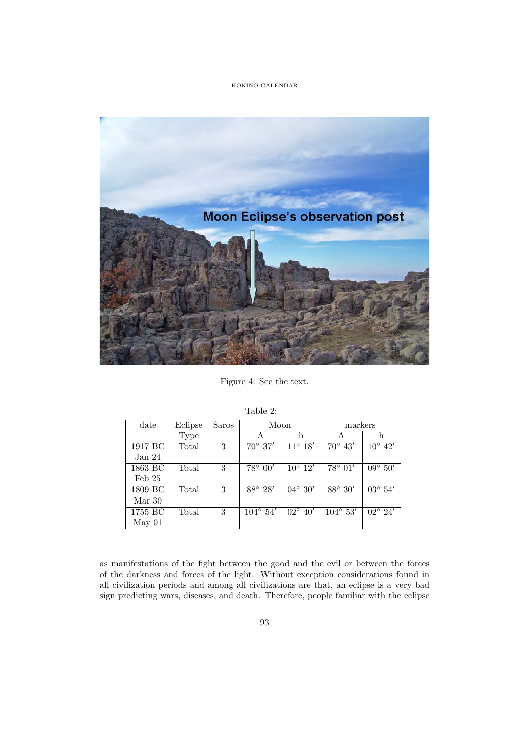## KOKINO CALENDAR



Figure 4: See the text.

| date    | Eclipse | Saros | Moon                         |                             | markers                     |                  |
|---------|---------|-------|------------------------------|-----------------------------|-----------------------------|------------------|
|         | Type    |       |                              | h                           |                             | h                |
| 1917 BC | Total   | 3     | $70^{\circ} 37'$             | $\overline{11^{\circ}}$ 18' | $\overline{70^{\circ}}$ 43' | $10^{\circ}$ 42' |
| Jan 24  |         |       |                              |                             |                             |                  |
| 1863 BC | Total   | 3     | $78^{\circ} 00'$             | $10^{\circ}$ 12'            | $78^{\circ} 01'$            | $09^{\circ} 50'$ |
| Feb 25  |         |       |                              |                             |                             |                  |
| 1809 BC | Total   | 3     | $88^\circ 28'$               | $04^{\circ} 30'$            | $88^\circ 30'$              | $03^{\circ} 54'$ |
| Mar 30  |         |       |                              |                             |                             |                  |
| 1755 BC | Total   | 3     | $\overline{104^{\circ}} 54'$ | $02^{\circ} 40'$            | $104^{\circ} 53'$           | $02^{\circ} 24'$ |
| May 01  |         |       |                              |                             |                             |                  |

Table 2:

as manifestations of the fight between the good and the evil or between the forces of the darkness and forces of the light. Without exception considerations found in all civilization periods and among all civilizations are that, an eclipse is a very bad sign predicting wars, diseases, and death. Therefore, people familiar with the eclipse